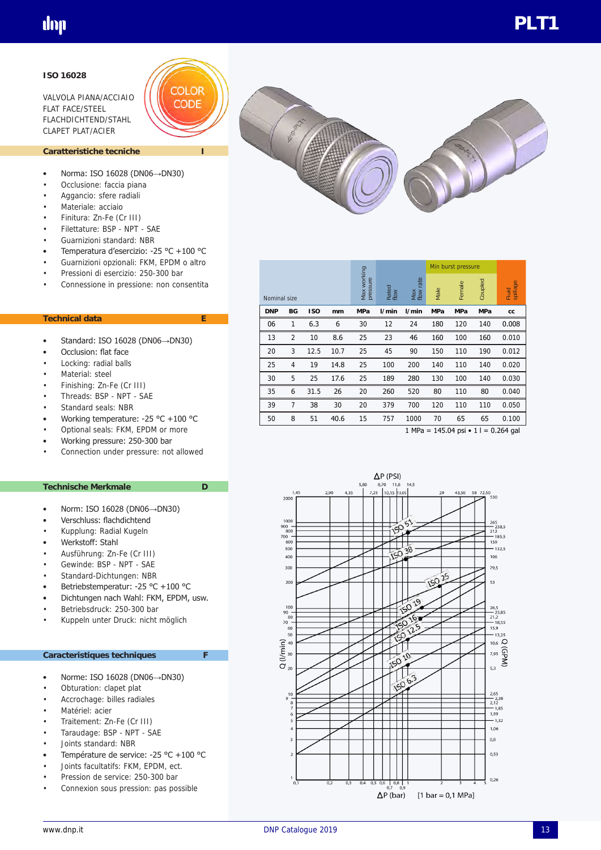### **ISO 16028**

VALVOLA PIANA/ACCIAIO FLAT FACE/STEEL FLACHDICHTEND/STAHL CLAPET PLAT/ACIER



### Caratteristiche tecniche

- Norma: ISO 16028 (DN06→DN30)
- Occlusione: faccia piana
- Aggancio: sfere radiali
- Materiale: acciaio
- Finitura: Zn-Fe (Cr III)
- Filettature: BSP NPT SAE
- Guarnizioni standard: NBR
- Temperatura d'esercizio: -25 °C +100 °C
- Guarnizioni opzionali: FKM, EPDM o altro
- Pressioni di esercizio: 250-300 bar
- Connessione in pressione: non consentita

### **Technical data E**

- Standard: ISO 16028 (DN06→DN30)
- Occlusion: flat face
- Locking: radial balls
- Material: steel
- Finishing: Zn-Fe (Cr III)
- Threads: BSP NPT SAE
- Standard seals: NBR
- Working temperature: -25 °C +100 °C
- Optional seals: FKM, EPDM or more
- Working pressure: 250-300 bar
- Connection under pressure: not allowed

#### **Technische Merkmale D**

- Norm: ISO 16028 (DN06→DN30)
- Verschluss: flachdichtend
- Kupplung: Radial Kugeln
- Werkstoff: Stahl
- Ausführung: Zn-Fe (Cr III)
- Gewinde: BSP NPT SAE
- Standard-Dichtungen: NBR
- Betriebstemperatur: -25 °C +100 °C
- Dichtungen nach Wahl: FKM, EPDM, usw.
- Betriebsdruck: 250-300 bar
- Kuppeln unter Druck: nicht möglich

#### **Caracteristiques techniques F**

- Norme: ISO 16028 (DN06→DN30)
- Obturation: clapet plat
- Accrochage: billes radiales
- Matériel: acier
- Traitement: Zn-Fe (Cr III)
- Taraudage: BSP NPT SAE
- Joints standard: NBR
- Température de service: -25 °C +100 °C
- Joints facultatifs: FKM, EPDM, ect.
- Pression de service: 250-300 bar
- Connexion sous pression: pas possible



|    |                                                      |      |      |                         |               |                     | Min burst pressure |            |            |                   |
|----|------------------------------------------------------|------|------|-------------------------|---------------|---------------------|--------------------|------------|------------|-------------------|
|    | Nominal size<br><b>ISO</b><br><b>DNP</b><br>BG<br>mm |      |      | Max working<br>pressure | Rated<br>flow | rate<br>Max<br>flow | Male               | Female     | Coupled    | spillage<br>Fluid |
|    |                                                      |      |      | <b>MPa</b>              | 1/min         | l/min               | <b>MPa</b>         | <b>MPa</b> | <b>MPa</b> | cc                |
| 06 | 1                                                    | 6.3  | 6    | 30                      | 12            | 24                  | 180                | 120        | 140        | 0.008             |
| 13 | 2                                                    | 10   | 8.6  | 25                      | 23            | 46                  | 160                | 100        | 160        | 0.010             |
| 20 | 3                                                    | 12.5 | 10.7 | 25                      | 45            | 90                  | 150                | 110        | 190        | 0.012             |
| 25 | 4                                                    | 19   | 14.8 | 25                      | 100           | 200                 | 140                | 110        | 140        | 0.020             |
| 30 | 5                                                    | 25   | 17.6 | 25                      | 189           | 280                 | 130                | 100        | 140        | 0.030             |
| 35 | 6                                                    | 31.5 | 26   | 20                      | 260           | 520                 | 80                 | 110        | 80         | 0.040             |
| 39 | 7                                                    | 38   | 30   | 20                      | 379           | 700                 | 120                | 110        | 110        | 0.050             |
| 50 | 8                                                    | 51   | 40.6 | 15                      | 757           | 1000                | 70                 | 65         | 65         | 0.100             |

1 MPa = 145.04 psi  $\cdot$  1 l = 0.264 gal

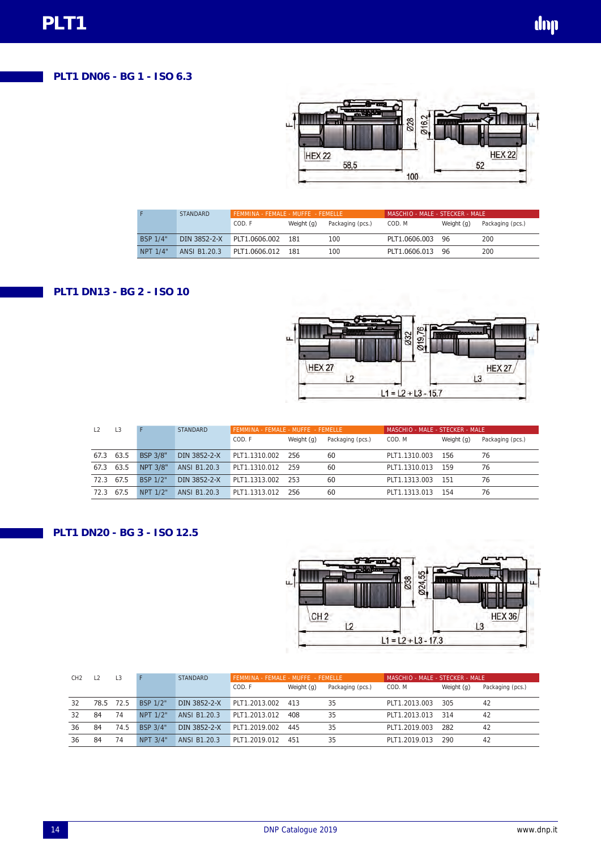# **PLT1 DN06 - BG 1 - ISO 6.3**



|          | <b>STANDARD</b> | FFMMINA - FFMALF - MUFFF - FFMFLLF |            |                  | MASCHIO - MALE - STECKER - MALE : |            |                  |  |  |
|----------|-----------------|------------------------------------|------------|------------------|-----------------------------------|------------|------------------|--|--|
|          |                 | COD. F                             | Weight (g) | Packaging (pcs.) | COD. M                            | Weight (g) | Packaging (pcs.) |  |  |
| BSP 1/4" | DIN 3852-2-X    | PLT1.0606.002                      | 181        | 100              | PLT1.0606.003                     | 96         | 200              |  |  |
| NPT 1/4" | ANSI B1.20.3    | PIT1.0606.012                      | 181        | 100              | PLT1.0606.013                     | 96         | 200              |  |  |

## **PLT1 DN13 - BG 2 - ISO 10**



|      | $\perp$ 3 |                 | <b>STANDARD</b> | FEMMINA - FEMALE - MUFFE - FEMELLE |            |                  | MASCHIO - MALE - STECKER - MALE |            |                  |  |  |
|------|-----------|-----------------|-----------------|------------------------------------|------------|------------------|---------------------------------|------------|------------------|--|--|
|      |           |                 |                 | COD. F                             | Weight (g) | Packaging (pcs.) | COD. M                          | Weight (g) | Packaging (pcs.) |  |  |
| 67.3 | 63.5      | <b>BSP 3/8"</b> | DIN 3852-2-X    | PLT1.1310.002                      | 256        | 60               | PLT1.1310.003                   | 156        | 76               |  |  |
| 67.3 | 63.5      | NPT 3/8"        | ANSI B1.20.3    | PLT1.1310.012                      | 259        | 60               | PLT1.1310.013                   | 159        | 76               |  |  |
| 72.3 | 67.5      | BSP 1/2"        | DIN 3852-2-X    | PLT1.1313.002                      | 253        | 60               | PLT1.1313.003                   | 151        | 76               |  |  |
| 72.3 | 67.5      | NPT 1/2"        | ANSI B1.20.3    | PLT1.1313.012                      | 256        | 60               | PLT1.1313.013                   | 154        | 76               |  |  |

## **PLT1 DN20 - BG 3 - ISO 12.5**



| CH <sub>2</sub> | $\frac{1}{2}$ | . 3  |          | <b>STANDARD</b> | FEMMINA - FEMALE - MUFFE - FEMELLE |            |                  | MASCHIO - MALE - STECKER - MALE |            |                  |  |
|-----------------|---------------|------|----------|-----------------|------------------------------------|------------|------------------|---------------------------------|------------|------------------|--|
|                 |               |      |          |                 | COD. F                             | Weight (g) | Packaging (pcs.) | COD. M                          | Weight (g) | Packaging (pcs.) |  |
| 32              | 78.5          | 72.5 | BSP 1/2" | DIN 3852-2-X    | PLT1.2013.002                      | 413        | 35               | PLT1.2013.003                   | 305        | 42               |  |
| 32              | 84            | 74   | NPT 1/2" | ANSI B1.20.3    | PI T1 2013 012                     | 408        | 35               | PLT1.2013.013                   | 314        | 42               |  |
| 36              | 84            | 74.5 | BSP 3/4" | DIN 3852-2-X    | PLT1.2019.002                      | 445        | 35               | PLT1.2019.003                   | 282        | 42               |  |
| 36              | 84            | 74   | NPT 3/4" | ANSI B1.20.3    | PLT1.2019.012                      | 451        | 35               | PLT1.2019.013                   | 290        | 42               |  |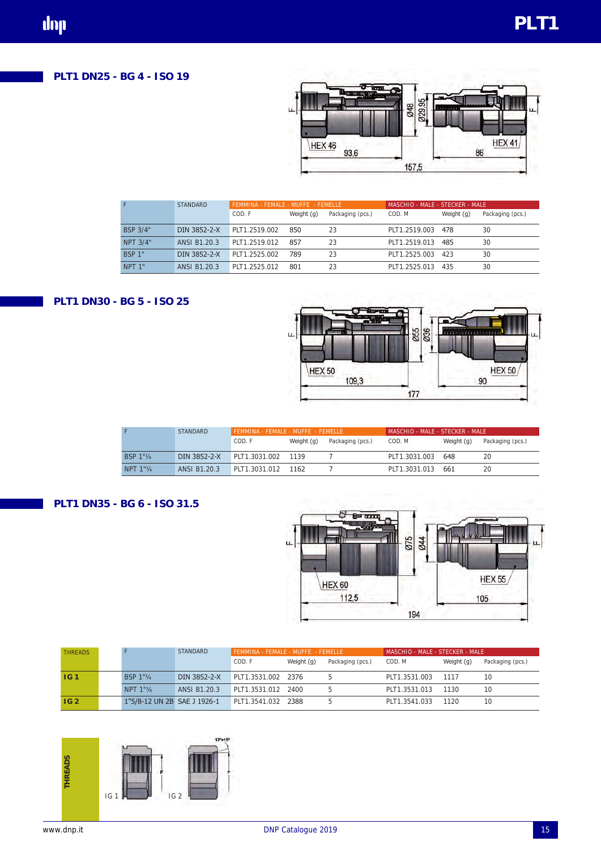# **PLT1 DN25 - BG 4 - ISO 19**



|                   | <b>STANDARD</b> | FEMMINA - FEMALE - MUFFE - FEMELLE |            |                  | MASCHIO - MALE - STECKER - MALE |            |                  |  |  |
|-------------------|-----------------|------------------------------------|------------|------------------|---------------------------------|------------|------------------|--|--|
|                   |                 | COD. F                             | Weight (g) | Packaging (pcs.) | COD. M                          | Weight (g) | Packaging (pcs.) |  |  |
| <b>BSP 3/4"</b>   | DIN 3852-2-X    | PLT1.2519.002                      | 850        | 23               | PLT1.2519.003                   | 478        | 30               |  |  |
| NPT 3/4"          | ANSI B1.20.3    | PLT1.2519.012                      | 857        | 23               | PLT1.2519.013                   | 485        | 30               |  |  |
| <b>BSP 1"</b>     | DIN 3852-2-X    | PLT1.2525.002                      | 789        | 23               | PLT1.2525.003                   | 423        | 30               |  |  |
| NPT <sub>1"</sub> | ANSI B1.20.3    | PLT1.2525.012                      | 801        | 23               | PLT1.2525.013                   | 435        | 30               |  |  |

## **PLT1 DN30 - BG 5 - ISO 25**



|                  | <b>STANDARD</b> | FEMMINA - FEMALE - MUFFE - FEMELLE |            |                  | MASCHIO - MAI F - STFCKFR - MAI F |            |                  |  |  |
|------------------|-----------------|------------------------------------|------------|------------------|-----------------------------------|------------|------------------|--|--|
|                  |                 | COD. F                             | Weight (g) | Packaging (pcs.) | COD. M                            | Weight (g) | Packaging (pcs.) |  |  |
| <b>BSP 1"1/4</b> | DIN 3852-2-X    | PLT1.3031.002 1139                 |            |                  | PLT1.3031.003                     | 648        | 20               |  |  |
| NPT 1"1/4        | ANSI B1.20.3    | PLT1.3031.012 1162                 |            |                  | PLT1.3031.013 661                 |            | 20               |  |  |

## **PLT1 DN35 - BG 6 - ISO 31.5**



| <b>THREADS</b>  |                             | STANDARD     | FEMMINA - FEMALE - MUFFE - FEMELLE |            |                  | MASCHIO - MALE - STECKER - MALE |            |                  |  |
|-----------------|-----------------------------|--------------|------------------------------------|------------|------------------|---------------------------------|------------|------------------|--|
|                 |                             |              | COD. F                             | Weight (g) | Packaging (pcs.) | COD. M                          | Weight (g) | Packaging (pcs.) |  |
| IG <sub>1</sub> | BSP 1"1/4                   | DIN 3852-2-X | PLT1.3531.002 2376                 |            |                  | PLT1.3531.003                   | 1117       | 10               |  |
|                 | NPT $1"$ <sup>1</sup>       | ANSI B1.20.3 | PLT1.3531.012 2400                 |            |                  | PLT1.3531.013                   | 1130       | 10               |  |
| IG <sub>2</sub> | 1"5/8-12 UN 2B SAE J 1926-1 |              | PLT1.3541.032 2388                 |            |                  | PLT1.3541.033                   | 1120       | 10               |  |

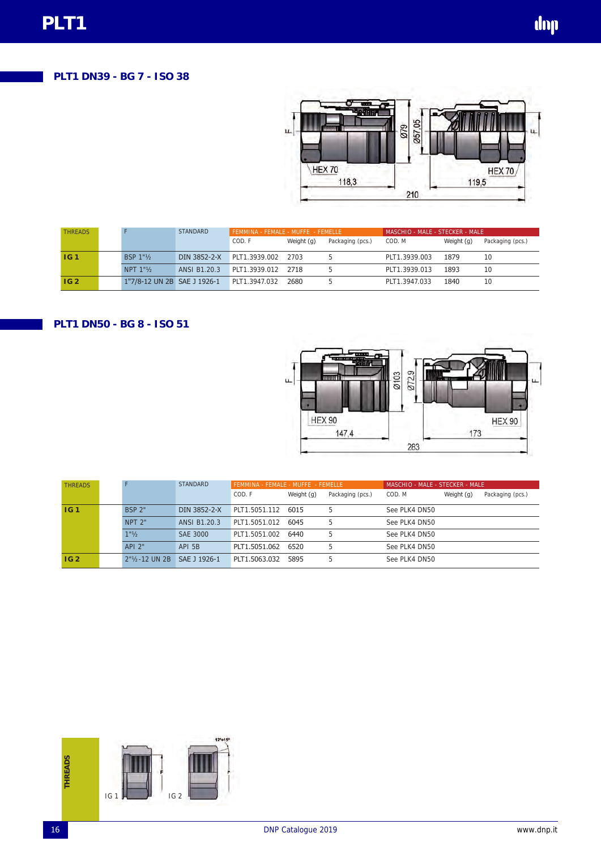# **PLT1 DN39 - BG 7 - ISO 38**



| <b>THREADS</b>  |                             | <b>STANDARD</b> | FEMMINA - FEMALE - MUFFE - FEMELLE |            |                  | MASCHIO - MALE - STECKER - MALE |            |                  |  |
|-----------------|-----------------------------|-----------------|------------------------------------|------------|------------------|---------------------------------|------------|------------------|--|
|                 |                             |                 | COD. F                             | Weight (g) | Packaging (pcs.) | COD. M                          | Weight (g) | Packaging (pcs.) |  |
| <b>IG1</b>      | <b>BSP 1"1/2</b>            | DIN 3852-2-X    | PLT1.3939.002 2703                 |            |                  | PLT1.3939.003                   | 1879       |                  |  |
|                 | NPT 1"                      | ANSI B1.20.3    | PLT1.3939.012 2718                 |            |                  | PLT1.3939.013                   | 1893       |                  |  |
| IG <sub>2</sub> | 1"7/8-12 UN 2B SAE J 1926-1 |                 | PLT1.3947.032                      | 2680       |                  | PLT1.3947.033                   | 1840       |                  |  |

## **PLT1 DN50 - BG 8 - ISO 51**



| <b>THREADS</b>  |                                  | <b>STANDARD</b> | FEMMINA - FEMALE - MUFFE - FEMELLE |            |                  | MASCHIO - MALE - STECKER - MALE |            |                  |  |  |
|-----------------|----------------------------------|-----------------|------------------------------------|------------|------------------|---------------------------------|------------|------------------|--|--|
|                 |                                  |                 | COD. F                             | Weight (g) | Packaging (pcs.) | COD. M                          | Weight (g) | Packaging (pcs.) |  |  |
| IG <sub>1</sub> | <b>BSP 2"</b>                    | DIN 3852-2-X    | PLT1.5051.112                      | 6015       | 5                | See PLK4 DN50                   |            |                  |  |  |
|                 | $NPT$ 2"                         | ANSI B1.20.3    | PLT1.5051.012 6045                 |            | 5                | See PLK4 DN50                   |            |                  |  |  |
|                 | $1"$ <sup>1</sup> / <sub>2</sub> | SAE 3000        | PLT1.5051.002                      | 6440       | 5                | See PLK4 DN50                   |            |                  |  |  |
|                 | $API$ 2"                         | API 5B          | PLT1.5051.062                      | 6520       | 5                | See PLK4 DN50                   |            |                  |  |  |
| IG2             | $2"1/2$ UN 2B                    | SAE J 1926-1    | PLT1.5063.032                      | 5895       | 5                | See PLK4 DN50                   |            |                  |  |  |